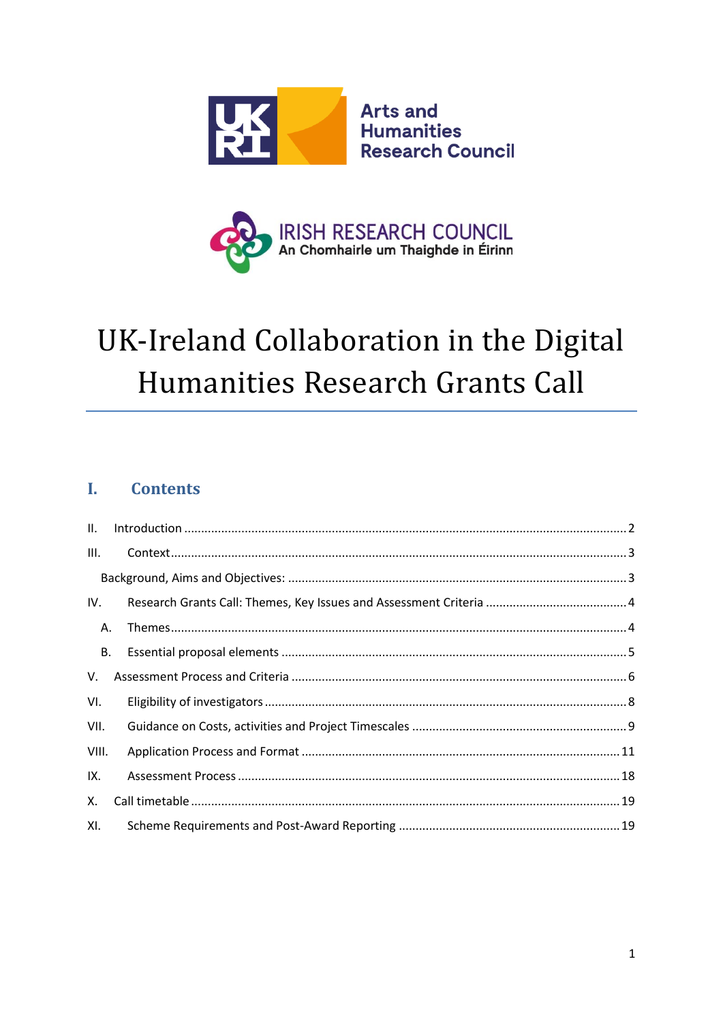



# UK-Ireland Collaboration in the Digital Humanities Research Grants Call

#### $\mathbf{I}$ . **Contents**

| II.       |  |  |
|-----------|--|--|
| III.      |  |  |
|           |  |  |
| IV.       |  |  |
| Α.        |  |  |
| <b>B.</b> |  |  |
| V.        |  |  |
| VI.       |  |  |
| VII.      |  |  |
| VIII.     |  |  |
| IX.       |  |  |
| Х.        |  |  |
| XI.       |  |  |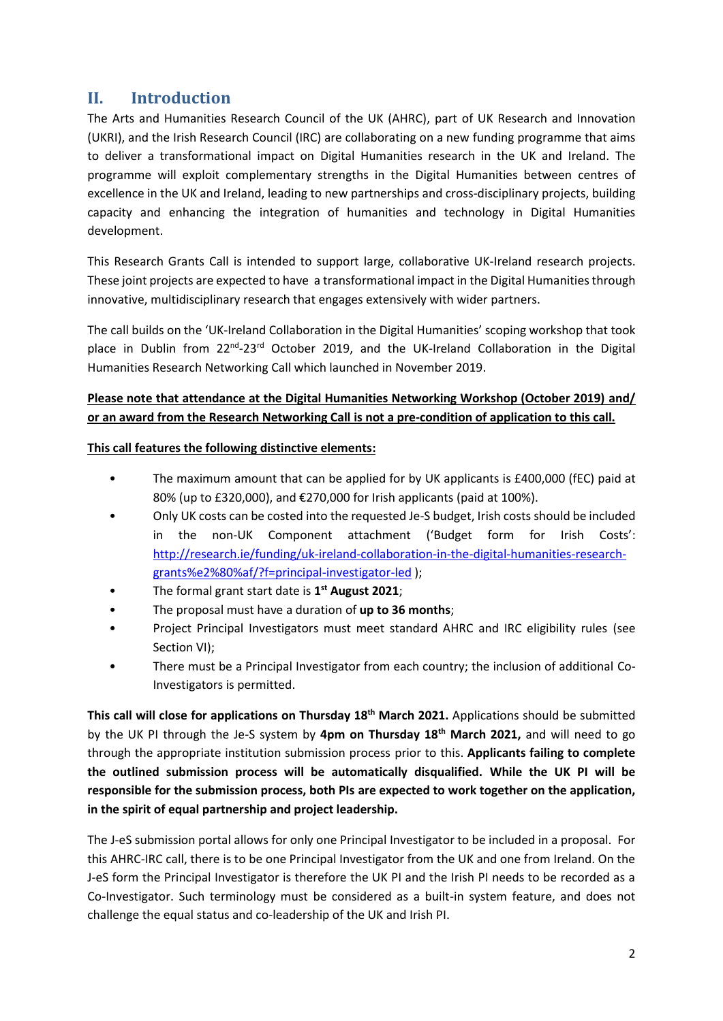## <span id="page-1-0"></span>**II. Introduction**

The Arts and Humanities Research Council of the UK (AHRC), part of UK Research and Innovation (UKRI), and the Irish Research Council (IRC) are collaborating on a new funding programme that aims to deliver a transformational impact on Digital Humanities research in the UK and Ireland. The programme will exploit complementary strengths in the Digital Humanities between centres of excellence in the UK and Ireland, leading to new partnerships and cross-disciplinary projects, building capacity and enhancing the integration of humanities and technology in Digital Humanities development.

This Research Grants Call is intended to support large, collaborative UK-Ireland research projects. These joint projects are expected to have a transformational impact in the Digital Humanities through innovative, multidisciplinary research that engages extensively with wider partners.

The call builds on the 'UK-Ireland Collaboration in the Digital Humanities' scoping workshop that took place in Dublin from 22<sup>nd</sup>-23<sup>rd</sup> October 2019, and the UK-Ireland Collaboration in the Digital Humanities Research Networking Call which launched in November 2019.

### **Please note that attendance at the Digital Humanities Networking Workshop (October 2019) and/ or an award from the Research Networking Call is not a pre-condition of application to this call.**

#### **This call features the following distinctive elements:**

- The maximum amount that can be applied for by UK applicants is £400,000 (fEC) paid at 80% (up to £320,000), and €270,000 for Irish applicants (paid at 100%).
- Only UK costs can be costed into the requested Je-S budget, Irish costs should be included in the non-UK Component attachment ('Budget form for Irish Costs': [http://research.ie/funding/uk-ireland-collaboration-in-the-digital-humanities-research](http://research.ie/funding/uk-ireland-collaboration-in-the-digital-humanities-research-grants%e2%80%af/?f=principal-investigator-led)[grants%e2%80%af/?f=principal-investigator-led](http://research.ie/funding/uk-ireland-collaboration-in-the-digital-humanities-research-grants%e2%80%af/?f=principal-investigator-led) );
- The formal grant start date is **1 st August 2021**;
- The proposal must have a duration of **up to 36 months**;
- Project Principal Investigators must meet standard AHRC and IRC eligibility rules (see Section VI);
- There must be a Principal Investigator from each country; the inclusion of additional Co-Investigators is permitted.

**This call will close for applications on Thursday 18th March 2021.** Applications should be submitted by the UK PI through the Je-S system by **4pm on Thursday 18th March 2021,** and will need to go through the appropriate institution submission process prior to this. **Applicants failing to complete the outlined submission process will be automatically disqualified. While the UK PI will be responsible for the submission process, both PIs are expected to work together on the application, in the spirit of equal partnership and project leadership.**

The J-eS submission portal allows for only one Principal Investigator to be included in a proposal. For this AHRC-IRC call, there is to be one Principal Investigator from the UK and one from Ireland. On the J-eS form the Principal Investigator is therefore the UK PI and the Irish PI needs to be recorded as a Co-Investigator. Such terminology must be considered as a built-in system feature, and does not challenge the equal status and co-leadership of the UK and Irish PI.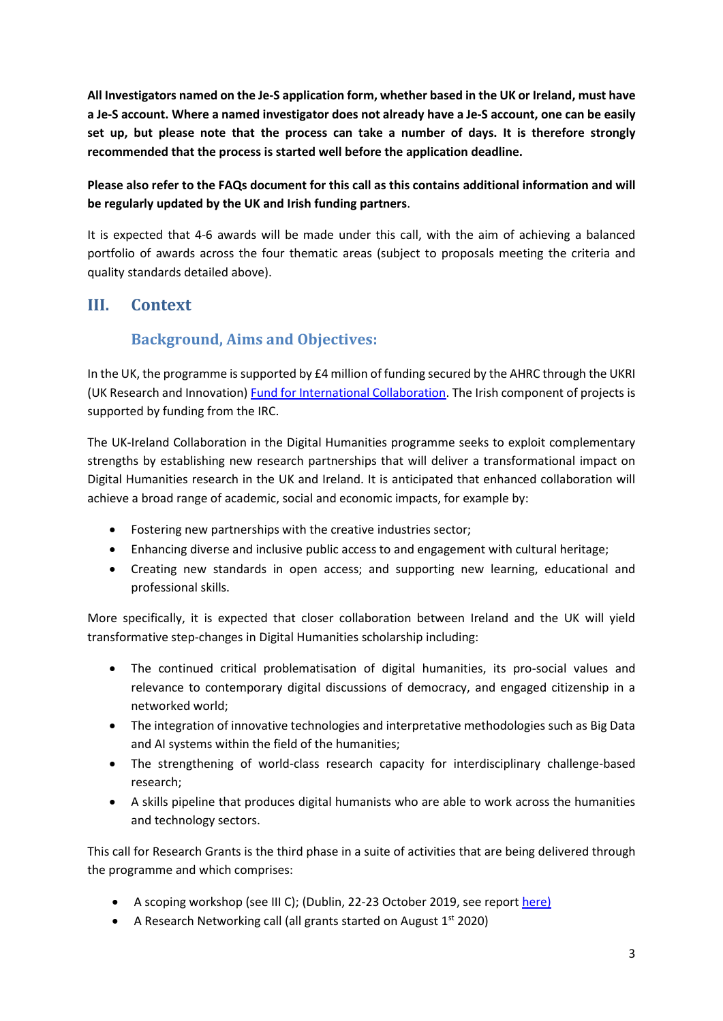**All Investigators named on the Je-S application form, whether based in the UK or Ireland, must have a Je-S account. Where a named investigator does not already have a Je-S account, one can be easily set up, but please note that the process can take a number of days. It is therefore strongly recommended that the process is started well before the application deadline.** 

**Please also refer to the FAQs document for this call as this contains additional information and will be regularly updated by the UK and Irish funding partners**.

It is expected that 4-6 awards will be made under this call, with the aim of achieving a balanced portfolio of awards across the four thematic areas (subject to proposals meeting the criteria and quality standards detailed above).

## <span id="page-2-1"></span><span id="page-2-0"></span>**III. Context**

## **Background, Aims and Objectives:**

In the UK, the programme is supported by £4 million of funding secured by the AHRC through the UKRI (UK Research and Innovation) Fund for International Collaboration. The Irish component of projects is supported by funding from the IRC.

The UK-Ireland Collaboration in the Digital Humanities programme seeks to exploit complementary strengths by establishing new research partnerships that will deliver a transformational impact on Digital Humanities research in the UK and Ireland. It is anticipated that enhanced collaboration will achieve a broad range of academic, social and economic impacts, for example by:

- Fostering new partnerships with the creative industries sector;
- Enhancing diverse and inclusive public access to and engagement with cultural heritage;
- Creating new standards in open access; and supporting new learning, educational and professional skills.

More specifically, it is expected that closer collaboration between Ireland and the UK will yield transformative step-changes in Digital Humanities scholarship including:

- The continued critical problematisation of digital humanities, its pro-social values and relevance to contemporary digital discussions of democracy, and engaged citizenship in a networked world;
- The integration of innovative technologies and interpretative methodologies such as Big Data and AI systems within the field of the humanities;
- The strengthening of world-class research capacity for interdisciplinary challenge-based research;
- A skills pipeline that produces digital humanists who are able to work across the humanities and technology sectors.

This call for Research Grants is the third phase in a suite of activities that are being delivered through the programme and which comprises:

- A scoping workshop (see III C); (Dublin, 22-23 October 2019, see report [here\)](https://ahrc.ukri.org/documents/calls/uk-ireland-dh-workshop-report/)
- A Research Networking call (all grants started on August  $1<sup>st</sup>$  2020)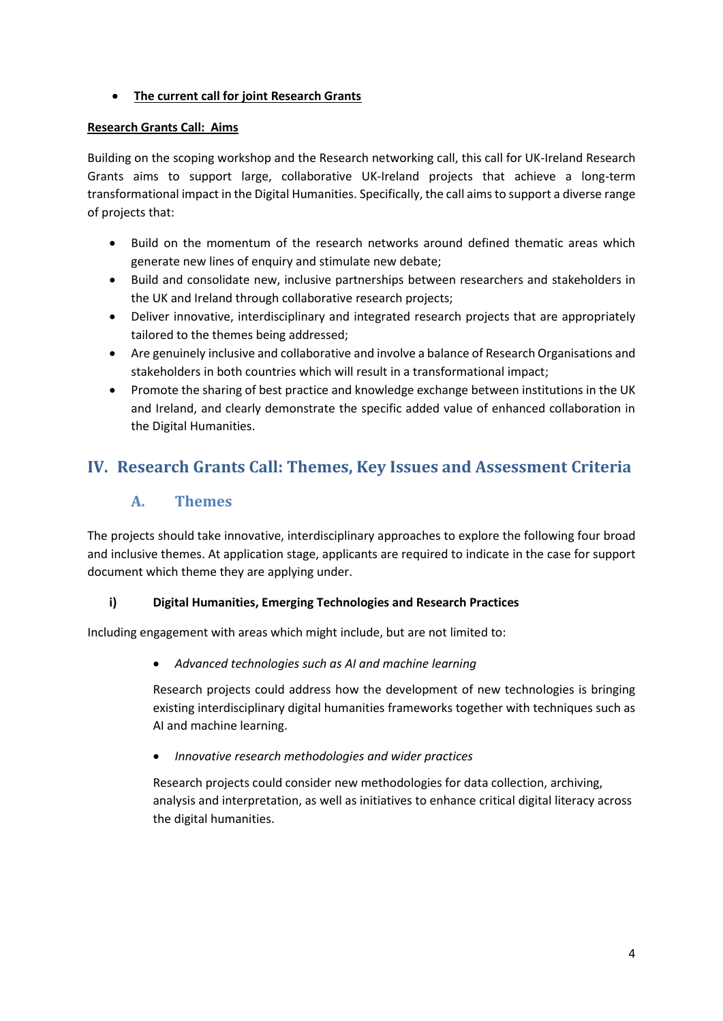#### • **The current call for joint Research Grants**

#### **Research Grants Call: Aims**

Building on the scoping workshop and the Research networking call, this call for UK-Ireland Research Grants aims to support large, collaborative UK-Ireland projects that achieve a long-term transformational impact in the Digital Humanities. Specifically, the call aims to support a diverse range of projects that:

- Build on the momentum of the research networks around defined thematic areas which generate new lines of enquiry and stimulate new debate;
- Build and consolidate new, inclusive partnerships between researchers and stakeholders in the UK and Ireland through collaborative research projects;
- Deliver innovative, interdisciplinary and integrated research projects that are appropriately tailored to the themes being addressed;
- Are genuinely inclusive and collaborative and involve a balance of Research Organisations and stakeholders in both countries which will result in a transformational impact;
- Promote the sharing of best practice and knowledge exchange between institutions in the UK and Ireland, and clearly demonstrate the specific added value of enhanced collaboration in the Digital Humanities.

## <span id="page-3-1"></span><span id="page-3-0"></span>**IV. Research Grants Call: Themes, Key Issues and Assessment Criteria**

## **A. Themes**

The projects should take innovative, interdisciplinary approaches to explore the following four broad and inclusive themes. At application stage, applicants are required to indicate in the case for support document which theme they are applying under.

#### **i) Digital Humanities, Emerging Technologies and Research Practices**

Including engagement with areas which might include, but are not limited to:

• *Advanced technologies such as AI and machine learning*

Research projects could address how the development of new technologies is bringing existing interdisciplinary digital humanities frameworks together with techniques such as AI and machine learning.

• *Innovative research methodologies and wider practices* 

Research projects could consider new methodologies for data collection, archiving, analysis and interpretation, as well as initiatives to enhance critical digital literacy across the digital humanities.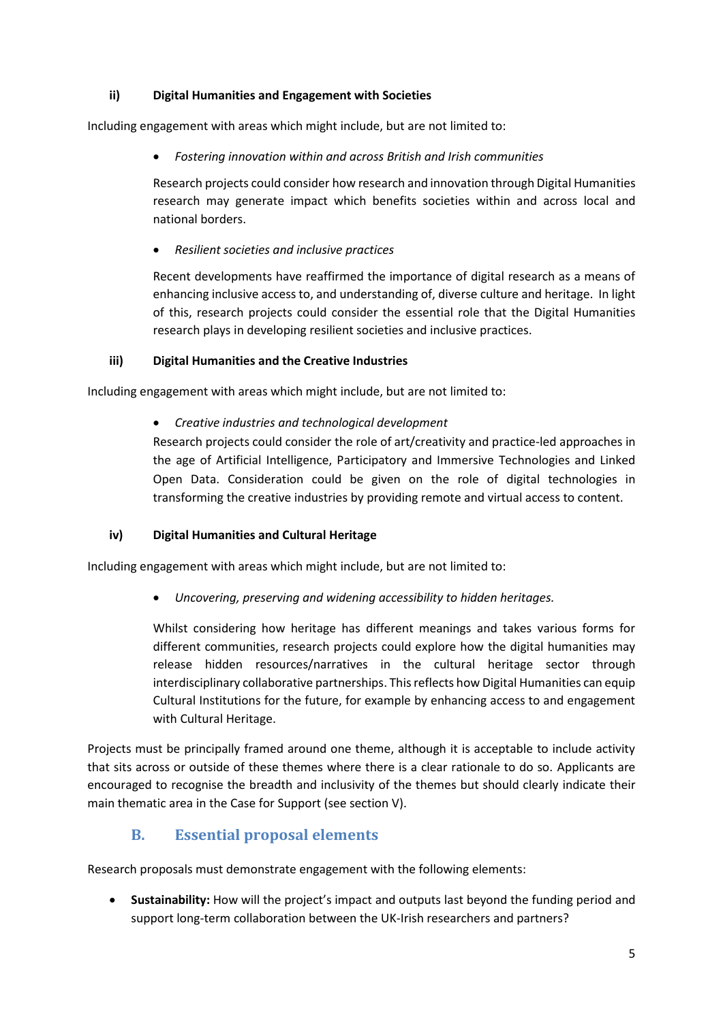#### **ii) Digital Humanities and Engagement with Societies**

Including engagement with areas which might include, but are not limited to:

• *Fostering innovation within and across British and Irish communities*

Research projects could consider how research and innovation through Digital Humanities research may generate impact which benefits societies within and across local and national borders.

• *Resilient societies and inclusive practices* 

Recent developments have reaffirmed the importance of digital research as a means of enhancing inclusive access to, and understanding of, diverse culture and heritage. In light of this, research projects could consider the essential role that the Digital Humanities research plays in developing resilient societies and inclusive practices.

#### **iii) Digital Humanities and the Creative Industries**

Including engagement with areas which might include, but are not limited to:

• *Creative industries and technological development*

Research projects could consider the role of art/creativity and practice-led approaches in the age of Artificial Intelligence, Participatory and Immersive Technologies and Linked Open Data. Consideration could be given on the role of digital technologies in transforming the creative industries by providing remote and virtual access to content.

#### **iv) Digital Humanities and Cultural Heritage**

Including engagement with areas which might include, but are not limited to:

• *Uncovering, preserving and widening accessibility to hidden heritages.* 

Whilst considering how heritage has different meanings and takes various forms for different communities, research projects could explore how the digital humanities may release hidden resources/narratives in the cultural heritage sector through interdisciplinary collaborative partnerships. This reflects how Digital Humanities can equip Cultural Institutions for the future, for example by enhancing access to and engagement with Cultural Heritage.

Projects must be principally framed around one theme, although it is acceptable to include activity that sits across or outside of these themes where there is a clear rationale to do so. Applicants are encouraged to recognise the breadth and inclusivity of the themes but should clearly indicate their main thematic area in the Case for Support (see section V).

## **B. Essential proposal elements**

<span id="page-4-0"></span>Research proposals must demonstrate engagement with the following elements:

• **Sustainability:** How will the project's impact and outputs last beyond the funding period and support long-term collaboration between the UK-Irish researchers and partners?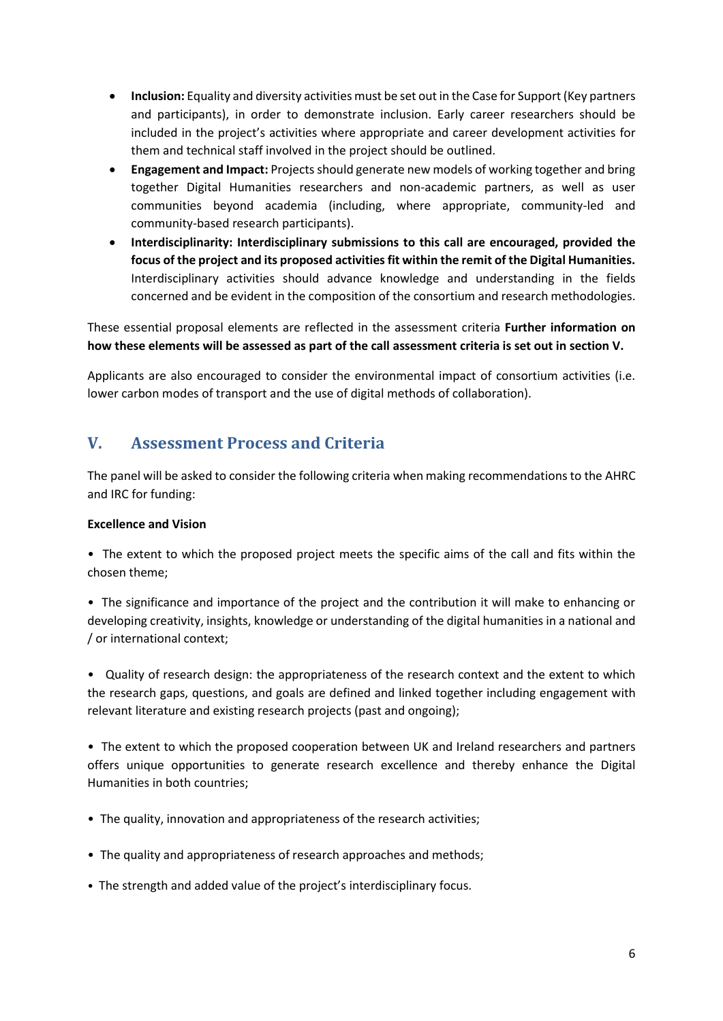- **Inclusion:** Equality and diversity activities must be set out in the Case for Support (Key partners and participants), in order to demonstrate inclusion. Early career researchers should be included in the project's activities where appropriate and career development activities for them and technical staff involved in the project should be outlined.
- **Engagement and Impact:** Projectsshould generate new models of working together and bring together Digital Humanities researchers and non-academic partners, as well as user communities beyond academia (including, where appropriate, community-led and community-based research participants).
- **Interdisciplinarity: Interdisciplinary submissions to this call are encouraged, provided the focus of the project and its proposed activities fit within the remit of the Digital Humanities.**  Interdisciplinary activities should advance knowledge and understanding in the fields concerned and be evident in the composition of the consortium and research methodologies.

These essential proposal elements are reflected in the assessment criteria **Further information on how these elements will be assessed as part of the call assessment criteria is set out in section V.**

Applicants are also encouraged to consider the environmental impact of consortium activities (i.e. lower carbon modes of transport and the use of digital methods of collaboration).

## <span id="page-5-0"></span>**V. Assessment Process and Criteria**

The panel will be asked to consider the following criteria when making recommendations to the AHRC and IRC for funding:

#### **Excellence and Vision**

• The extent to which the proposed project meets the specific aims of the call and fits within the chosen theme;

• The significance and importance of the project and the contribution it will make to enhancing or developing creativity, insights, knowledge or understanding of the digital humanities in a national and / or international context;

• Quality of research design: the appropriateness of the research context and the extent to which the research gaps, questions, and goals are defined and linked together including engagement with relevant literature and existing research projects (past and ongoing);

• The extent to which the proposed cooperation between UK and Ireland researchers and partners offers unique opportunities to generate research excellence and thereby enhance the Digital Humanities in both countries;

- The quality, innovation and appropriateness of the research activities;
- The quality and appropriateness of research approaches and methods;
- The strength and added value of the project's interdisciplinary focus.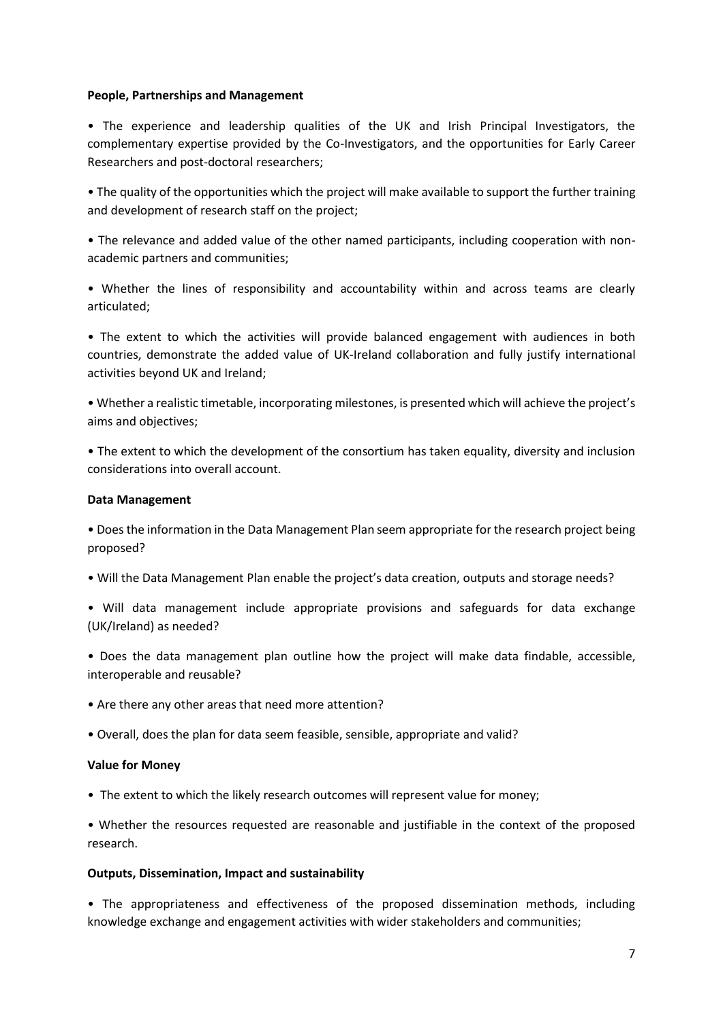#### **People, Partnerships and Management**

• The experience and leadership qualities of the UK and Irish Principal Investigators, the complementary expertise provided by the Co-Investigators, and the opportunities for Early Career Researchers and post-doctoral researchers;

• The quality of the opportunities which the project will make available to support the further training and development of research staff on the project;

• The relevance and added value of the other named participants, including cooperation with nonacademic partners and communities;

• Whether the lines of responsibility and accountability within and across teams are clearly articulated;

• The extent to which the activities will provide balanced engagement with audiences in both countries, demonstrate the added value of UK-Ireland collaboration and fully justify international activities beyond UK and Ireland;

• Whether a realistic timetable, incorporating milestones, is presented which will achieve the project's aims and objectives;

• The extent to which the development of the consortium has taken equality, diversity and inclusion considerations into overall account.

#### **Data Management**

• Does the information in the Data Management Plan seem appropriate for the research project being proposed?

- Will the Data Management Plan enable the project's data creation, outputs and storage needs?
- Will data management include appropriate provisions and safeguards for data exchange (UK/Ireland) as needed?

• Does the data management plan outline how the project will make data findable, accessible, interoperable and reusable?

- Are there any other areas that need more attention?
- Overall, does the plan for data seem feasible, sensible, appropriate and valid?

#### **Value for Money**

• The extent to which the likely research outcomes will represent value for money;

• Whether the resources requested are reasonable and justifiable in the context of the proposed research.

#### **Outputs, Dissemination, Impact and sustainability**

• The appropriateness and effectiveness of the proposed dissemination methods, including knowledge exchange and engagement activities with wider stakeholders and communities;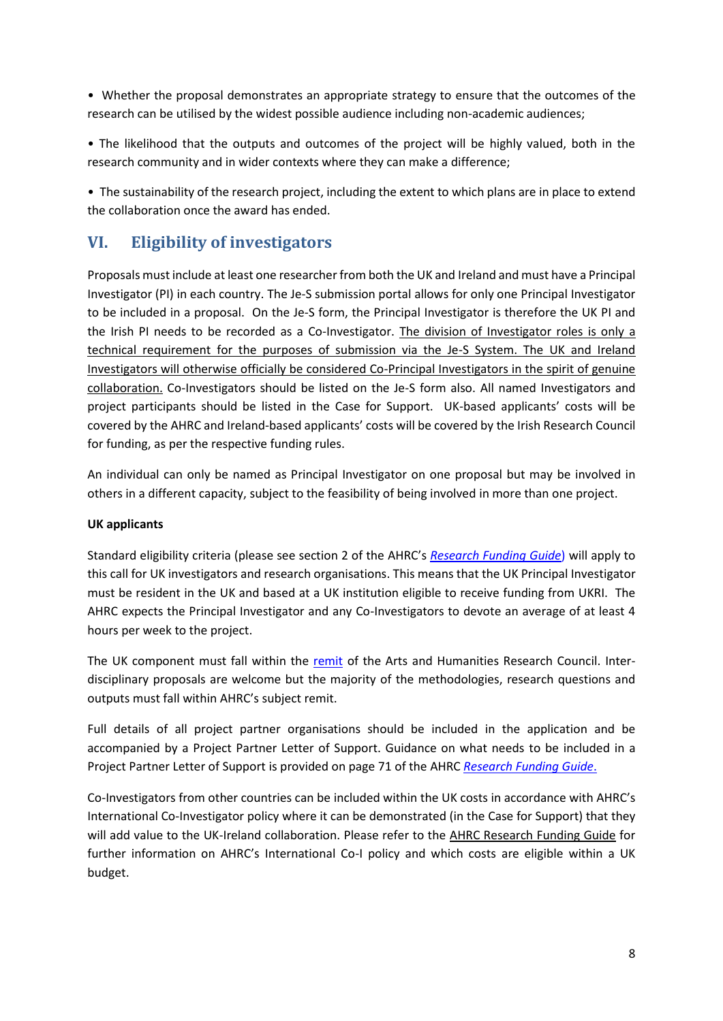• Whether the proposal demonstrates an appropriate strategy to ensure that the outcomes of the research can be utilised by the widest possible audience including non-academic audiences;

• The likelihood that the outputs and outcomes of the project will be highly valued, both in the research community and in wider contexts where they can make a difference;

• The sustainability of the research project, including the extent to which plans are in place to extend the collaboration once the award has ended.

## <span id="page-7-0"></span>**VI. Eligibility of investigators**

Proposals must include at least one researcher from both the UK and Ireland and must have a Principal Investigator (PI) in each country. The Je-S submission portal allows for only one Principal Investigator to be included in a proposal. On the Je-S form, the Principal Investigator is therefore the UK PI and the Irish PI needs to be recorded as a Co-Investigator. The division of Investigator roles is only a technical requirement for the purposes of submission via the Je-S System. The UK and Ireland Investigators will otherwise officially be considered Co-Principal Investigators in the spirit of genuine collaboration. Co-Investigators should be listed on the Je-S form also. All named Investigators and project participants should be listed in the Case for Support. UK-based applicants' costs will be covered by the AHRC and Ireland-based applicants' costs will be covered by the Irish Research Council for funding, as per the respective funding rules.

An individual can only be named as Principal Investigator on one proposal but may be involved in others in a different capacity, subject to the feasibility of being involved in more than one project.

#### **UK applicants**

Standard eligibility criteria (please see section 2 of the AHRC's *[Research Funding Guide](https://ahrc.ukri.org/documents/guides/research-funding-guide-v4-3/)*) will apply to this call for UK investigators and research organisations. This means that the UK Principal Investigator must be resident in the UK and based at a UK institution eligible to receive funding from UKRI. The AHRC expects the Principal Investigator and any Co-Investigators to devote an average of at least 4 hours per week to the project.

The UK component must fall within the [remit](https://ahrc.ukri.org/funding/research/subjectcoverage/ahrc-disciplines/) of the Arts and Humanities Research Council. Interdisciplinary proposals are welcome but the majority of the methodologies, research questions and outputs must fall within AHRC's subject remit.

Full details of all project partner organisations should be included in the application and be accompanied by a Project Partner Letter of Support. Guidance on what needs to be included in a Project Partner Letter of Support is provided on page 71 of the AHRC *[Research Funding Guide](https://ahrc.ukri.org/funding/research/researchfundingguide/)*.

Co-Investigators from other countries can be included within the UK costs in accordance with AHRC's International Co-Investigator policy where it can be demonstrated (in the Case for Support) that they will add value to the UK-Ireland collaboration. Please refer to the [AHRC Research Funding Guide](https://ahrc.ukri.org/documents/guides/research-funding-guide1/) for further information on AHRC's International Co-I policy and which costs are eligible within a UK budget.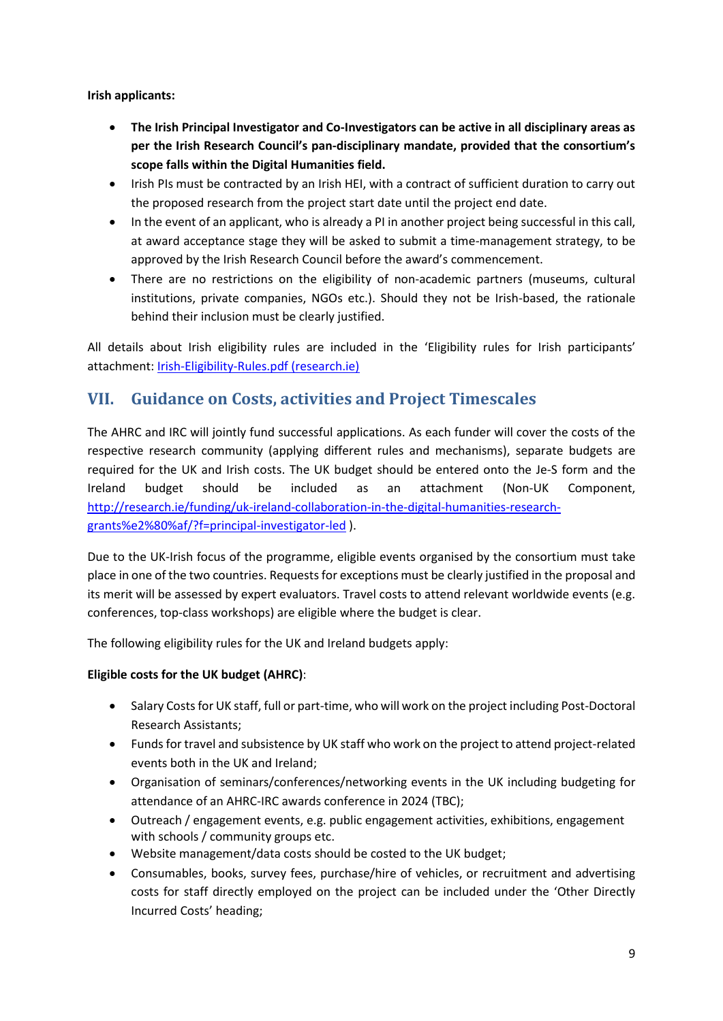**Irish applicants:**

- **The Irish Principal Investigator and Co-Investigators can be active in all disciplinary areas as per the Irish Research Council's pan-disciplinary mandate, provided that the consortium's scope falls within the Digital Humanities field.**
- Irish PIs must be contracted by an Irish HEI, with a contract of sufficient duration to carry out the proposed research from the project start date until the project end date.
- In the event of an applicant, who is already a PI in another project being successful in this call, at award acceptance stage they will be asked to submit a time-management strategy, to be approved by the Irish Research Council before the award's commencement.
- There are no restrictions on the eligibility of non-academic partners (museums, cultural institutions, private companies, NGOs etc.). Should they not be Irish-based, the rationale behind their inclusion must be clearly justified.

All details about Irish eligibility rules are included in the 'Eligibility rules for Irish participants' attachment[: Irish-Eligibility-Rules.pdf \(research.ie\)](https://research.ie/assets/uploads/2021/01/Irish-Eligibility-Rules.pdf)

## <span id="page-8-0"></span>**VII. Guidance on Costs, activities and Project Timescales**

The AHRC and IRC will jointly fund successful applications. As each funder will cover the costs of the respective research community (applying different rules and mechanisms), separate budgets are required for the UK and Irish costs. The UK budget should be entered onto the Je-S form and the Ireland budget should be included as an attachment (Non-UK Component, [http://research.ie/funding/uk-ireland-collaboration-in-the-digital-humanities-research](http://research.ie/funding/uk-ireland-collaboration-in-the-digital-humanities-research-grants%e2%80%af/?f=principal-investigator-led)[grants%e2%80%af/?f=principal-investigator-led](http://research.ie/funding/uk-ireland-collaboration-in-the-digital-humanities-research-grants%e2%80%af/?f=principal-investigator-led) ).

Due to the UK-Irish focus of the programme, eligible events organised by the consortium must take place in one of the two countries. Requests for exceptions must be clearly justified in the proposal and its merit will be assessed by expert evaluators. Travel costs to attend relevant worldwide events (e.g. conferences, top-class workshops) are eligible where the budget is clear.

The following eligibility rules for the UK and Ireland budgets apply:

#### **Eligible costs for the UK budget (AHRC)**:

- Salary Costs for UK staff, full or part-time, who will work on the project including Post-Doctoral Research Assistants;
- Funds for travel and subsistence by UK staff who work on the project to attend project-related events both in the UK and Ireland;
- Organisation of seminars/conferences/networking events in the UK including budgeting for attendance of an AHRC-IRC awards conference in 2024 (TBC);
- Outreach / engagement events, e.g. public engagement activities, exhibitions, engagement with schools / community groups etc.
- Website management/data costs should be costed to the UK budget;
- Consumables, books, survey fees, purchase/hire of vehicles, or recruitment and advertising costs for staff directly employed on the project can be included under the 'Other Directly Incurred Costs' heading;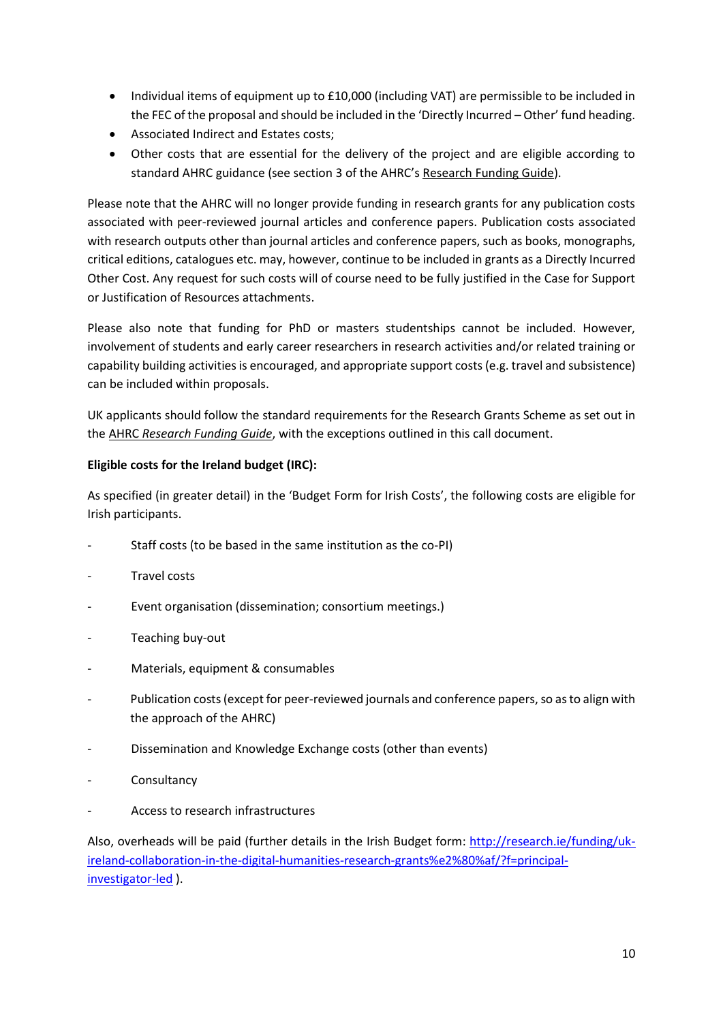- Individual items of equipment up to £10,000 (including VAT) are permissible to be included in the FEC of the proposal and should be included in the 'Directly Incurred – Other' fund heading.
- Associated Indirect and Estates costs;
- Other costs that are essential for the delivery of the project and are eligible according to standard AHRC guidance (see section 3 of the AHRC's [Research Funding Guide\)](https://ahrc.ukri.org/funding/research/researchfundingguide/).

Please note that the AHRC will no longer provide funding in research grants for any publication costs associated with peer-reviewed journal articles and conference papers. Publication costs associated with research outputs other than journal articles and conference papers, such as books, monographs, critical editions, catalogues etc. may, however, continue to be included in grants as a Directly Incurred Other Cost. Any request for such costs will of course need to be fully justified in the Case for Support or Justification of Resources attachments.

Please also note that funding for PhD or masters studentships cannot be included. However, involvement of students and early career researchers in research activities and/or related training or capability building activities is encouraged, and appropriate support costs (e.g. travel and subsistence) can be included within proposals.

UK applicants should follow the standard requirements for the Research Grants Scheme as set out in the AHRC *[Research Funding Guide](https://ahrc.ukri.org/funding/research/researchfundingguide/)*, with the exceptions outlined in this call document.

#### **Eligible costs for the Ireland budget (IRC):**

As specified (in greater detail) in the 'Budget Form for Irish Costs', the following costs are eligible for Irish participants.

- Staff costs (to be based in the same institution as the co-PI)
- Travel costs
- Event organisation (dissemination; consortium meetings.)
- Teaching buy-out
- Materials, equipment & consumables
- Publication costs (except for peer-reviewed journals and conference papers, so as to align with the approach of the AHRC)
- Dissemination and Knowledge Exchange costs (other than events)
- **Consultancy**
- Access to research infrastructures

Also, overheads will be paid (further details in the Irish Budget form: [http://research.ie/funding/uk](http://research.ie/funding/uk-ireland-collaboration-in-the-digital-humanities-research-grants%e2%80%af/?f=principal-investigator-led)[ireland-collaboration-in-the-digital-humanities-research-grants%e2%80%af/?f=principal](http://research.ie/funding/uk-ireland-collaboration-in-the-digital-humanities-research-grants%e2%80%af/?f=principal-investigator-led)[investigator-led](http://research.ie/funding/uk-ireland-collaboration-in-the-digital-humanities-research-grants%e2%80%af/?f=principal-investigator-led) ).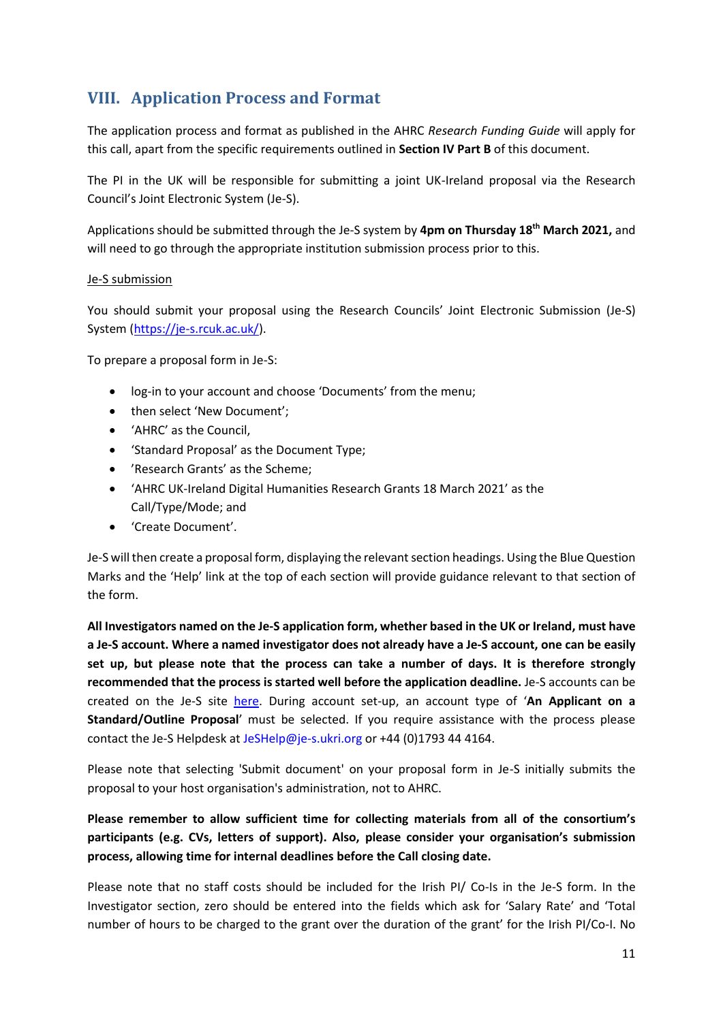## <span id="page-10-0"></span>**VIII. Application Process and Format**

The application process and format as published in the AHRC *Research Funding Guide* will apply for this call, apart from the specific requirements outlined in **Section IV Part B** of this document.

The PI in the UK will be responsible for submitting a joint UK-Ireland proposal via the Research Council's Joint Electronic System (Je-S).

Applications should be submitted through the Je-S system by **4pm on Thursday 18th March 2021,** and will need to go through the appropriate institution submission process prior to this.

#### Je-S submission

You should submit your proposal using the Research Councils' Joint Electronic Submission (Je-S) System [\(https://je-s.rcuk.ac.uk/\)](https://je-s.rcuk.ac.uk/).

To prepare a proposal form in Je-S:

- log-in to your account and choose 'Documents' from the menu;
- then select 'New Document';
- 'AHRC' as the Council,
- 'Standard Proposal' as the Document Type;
- 'Research Grants' as the Scheme;
- 'AHRC UK-Ireland Digital Humanities Research Grants 18 March 2021' as the Call/Type/Mode; and
- 'Create Document'.

Je-S will then create a proposal form, displaying the relevant section headings. Using the Blue Question Marks and the 'Help' link at the top of each section will provide guidance relevant to that section of the form.

**All Investigators named on the Je-S application form, whether based in the UK or Ireland, must have a Je-S account. Where a named investigator does not already have a Je-S account, one can be easily set up, but please note that the process can take a number of days. It is therefore strongly recommended that the process is started well before the application deadline.** Je-S accounts can be created on the Je-S site [here.](https://je-s.rcuk.ac.uk/JeS2WebLoginSite/TermsConditions.aspx?mode=accountsetup) During account set-up, an account type of '**An Applicant on a Standard/Outline Proposal**' must be selected. If you require assistance with the process please contact the Je-S Helpdesk at JeSHelp@je-s.ukri.org or +44 (0)1793 44 4164.

Please note that selecting 'Submit document' on your proposal form in Je-S initially submits the proposal to your host organisation's administration, not to AHRC.

**Please remember to allow sufficient time for collecting materials from all of the consortium's participants (e.g. CVs, letters of support). Also, please consider your organisation's submission process, allowing time for internal deadlines before the Call closing date.**

Please note that no staff costs should be included for the Irish PI/ Co-Is in the Je-S form. In the Investigator section, zero should be entered into the fields which ask for 'Salary Rate' and 'Total number of hours to be charged to the grant over the duration of the grant' for the Irish PI/Co-I. No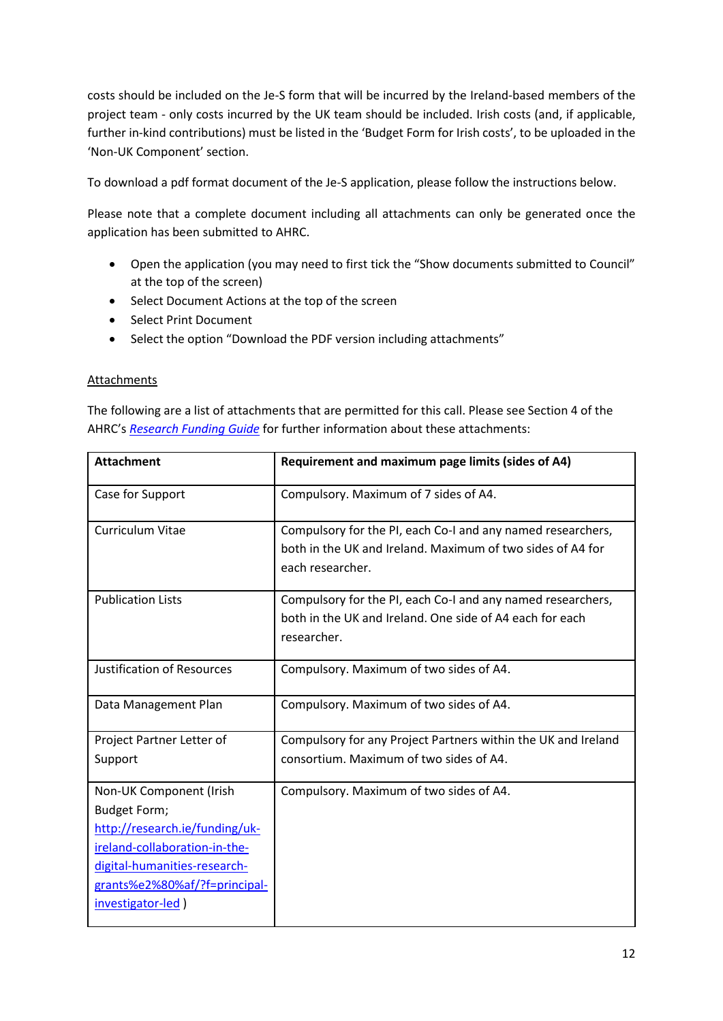costs should be included on the Je-S form that will be incurred by the Ireland-based members of the project team - only costs incurred by the UK team should be included. Irish costs (and, if applicable, further in-kind contributions) must be listed in the 'Budget Form for Irish costs', to be uploaded in the 'Non-UK Component' section.

To download a pdf format document of the Je-S application, please follow the instructions below.

Please note that a complete document including all attachments can only be generated once the application has been submitted to AHRC.

- Open the application (you may need to first tick the "Show documents submitted to Council" at the top of the screen)
- Select Document Actions at the top of the screen
- Select Print Document
- Select the option "Download the PDF version including attachments"

#### Attachments

The following are a list of attachments that are permitted for this call. Please see Section 4 of the AHRC's *[Research Funding Guide](https://ahrc.ukri.org/funding/research/researchfundingguide/)* for further information about these attachments:

| <b>Attachment</b>                                                                                                                                                                                       | Requirement and maximum page limits (sides of A4)                                                                                             |  |
|---------------------------------------------------------------------------------------------------------------------------------------------------------------------------------------------------------|-----------------------------------------------------------------------------------------------------------------------------------------------|--|
| Case for Support                                                                                                                                                                                        | Compulsory. Maximum of 7 sides of A4.                                                                                                         |  |
| <b>Curriculum Vitae</b>                                                                                                                                                                                 | Compulsory for the PI, each Co-I and any named researchers,<br>both in the UK and Ireland. Maximum of two sides of A4 for<br>each researcher. |  |
| <b>Publication Lists</b>                                                                                                                                                                                | Compulsory for the PI, each Co-I and any named researchers,<br>both in the UK and Ireland. One side of A4 each for each<br>researcher.        |  |
| <b>Justification of Resources</b>                                                                                                                                                                       | Compulsory. Maximum of two sides of A4.                                                                                                       |  |
| Data Management Plan                                                                                                                                                                                    | Compulsory. Maximum of two sides of A4.                                                                                                       |  |
| Project Partner Letter of<br>Support                                                                                                                                                                    | Compulsory for any Project Partners within the UK and Ireland<br>consortium. Maximum of two sides of A4.                                      |  |
| Non-UK Component (Irish<br><b>Budget Form;</b><br>http://research.ie/funding/uk-<br>ireland-collaboration-in-the-<br>digital-humanities-research-<br>grants%e2%80%af/?f=principal-<br>investigator-led) | Compulsory. Maximum of two sides of A4.                                                                                                       |  |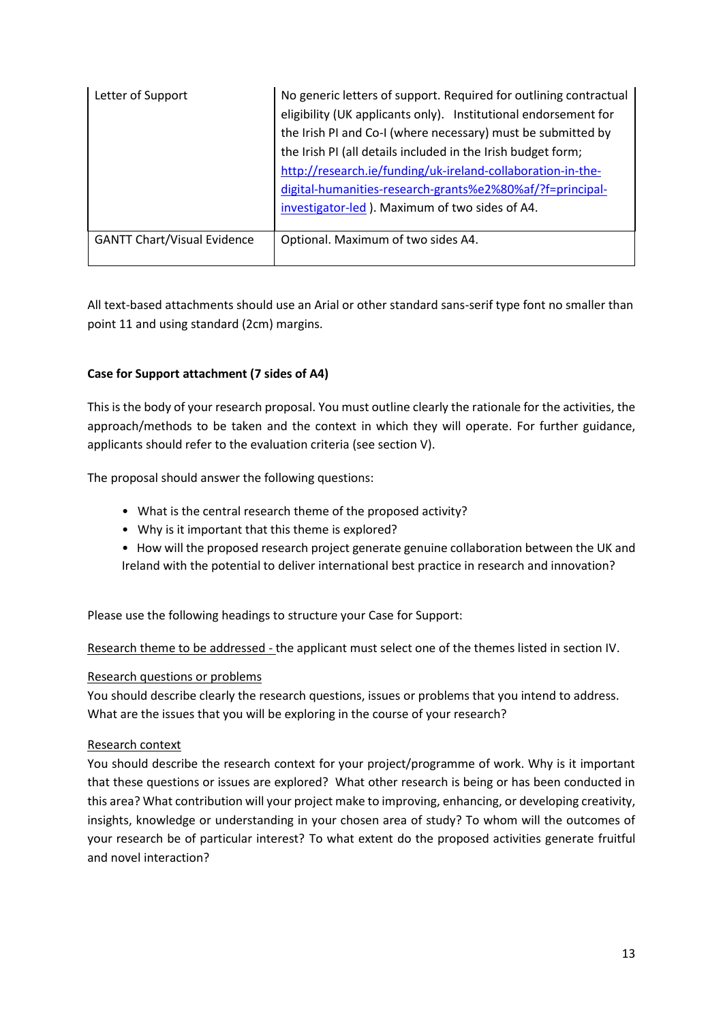| Letter of Support                  | No generic letters of support. Required for outlining contractual |
|------------------------------------|-------------------------------------------------------------------|
|                                    | eligibility (UK applicants only). Institutional endorsement for   |
|                                    | the Irish PI and Co-I (where necessary) must be submitted by      |
|                                    | the Irish PI (all details included in the Irish budget form;      |
|                                    | http://research.ie/funding/uk-ireland-collaboration-in-the-       |
|                                    | digital-humanities-research-grants%e2%80%af/?f=principal-         |
|                                    | investigator-led). Maximum of two sides of A4.                    |
|                                    |                                                                   |
| <b>GANTT Chart/Visual Evidence</b> | Optional. Maximum of two sides A4.                                |
|                                    |                                                                   |

All text-based attachments should use an Arial or other standard sans-serif type font no smaller than point 11 and using standard (2cm) margins.

#### **Case for Support attachment (7 sides of A4)**

This is the body of your research proposal. You must outline clearly the rationale for the activities, the approach/methods to be taken and the context in which they will operate. For further guidance, applicants should refer to the evaluation criteria (see section V).

The proposal should answer the following questions:

- What is the central research theme of the proposed activity?
- Why is it important that this theme is explored?
- How will the proposed research project generate genuine collaboration between the UK and Ireland with the potential to deliver international best practice in research and innovation?

Please use the following headings to structure your Case for Support:

Research theme to be addressed - the applicant must select one of the themes listed in section IV.

#### Research questions or problems

You should describe clearly the research questions, issues or problems that you intend to address. What are the issues that you will be exploring in the course of your research?

#### Research context

You should describe the research context for your project/programme of work. Why is it important that these questions or issues are explored? What other research is being or has been conducted in this area? What contribution will your project make to improving, enhancing, or developing creativity, insights, knowledge or understanding in your chosen area of study? To whom will the outcomes of your research be of particular interest? To what extent do the proposed activities generate fruitful and novel interaction?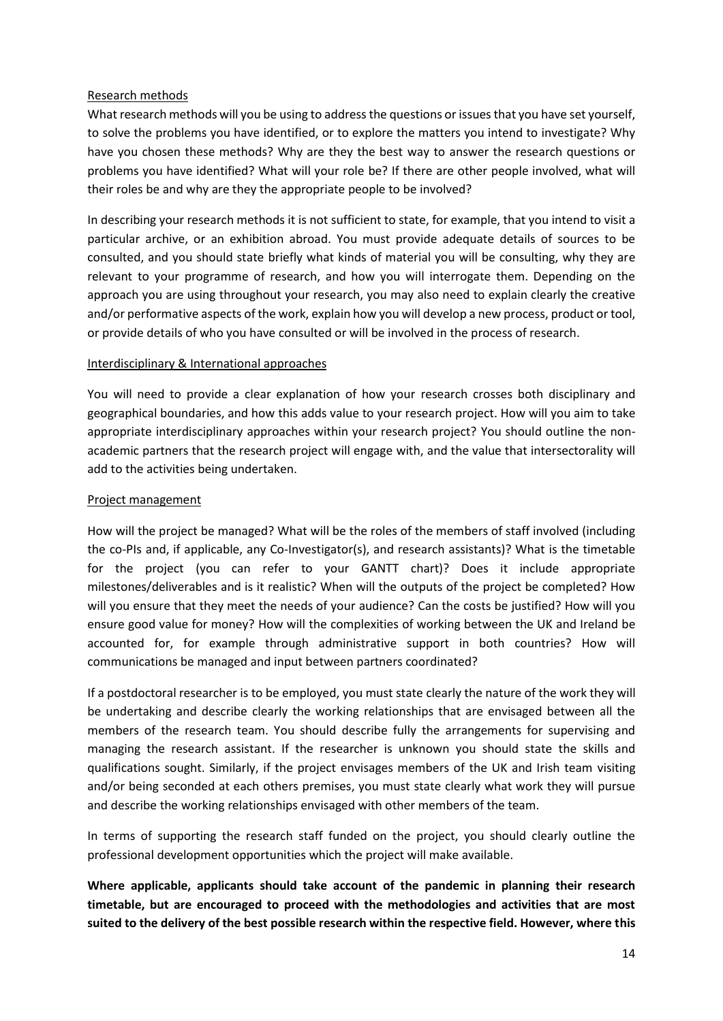#### Research methods

What research methods will you be using to address the questions or issues that you have set yourself, to solve the problems you have identified, or to explore the matters you intend to investigate? Why have you chosen these methods? Why are they the best way to answer the research questions or problems you have identified? What will your role be? If there are other people involved, what will their roles be and why are they the appropriate people to be involved?

In describing your research methods it is not sufficient to state, for example, that you intend to visit a particular archive, or an exhibition abroad. You must provide adequate details of sources to be consulted, and you should state briefly what kinds of material you will be consulting, why they are relevant to your programme of research, and how you will interrogate them. Depending on the approach you are using throughout your research, you may also need to explain clearly the creative and/or performative aspects of the work, explain how you will develop a new process, product or tool, or provide details of who you have consulted or will be involved in the process of research.

#### Interdisciplinary & International approaches

You will need to provide a clear explanation of how your research crosses both disciplinary and geographical boundaries, and how this adds value to your research project. How will you aim to take appropriate interdisciplinary approaches within your research project? You should outline the nonacademic partners that the research project will engage with, and the value that intersectorality will add to the activities being undertaken.

#### Project management

How will the project be managed? What will be the roles of the members of staff involved (including the co-PIs and, if applicable, any Co-Investigator(s), and research assistants)? What is the timetable for the project (you can refer to your GANTT chart)? Does it include appropriate milestones/deliverables and is it realistic? When will the outputs of the project be completed? How will you ensure that they meet the needs of your audience? Can the costs be justified? How will you ensure good value for money? How will the complexities of working between the UK and Ireland be accounted for, for example through administrative support in both countries? How will communications be managed and input between partners coordinated?

If a postdoctoral researcher is to be employed, you must state clearly the nature of the work they will be undertaking and describe clearly the working relationships that are envisaged between all the members of the research team. You should describe fully the arrangements for supervising and managing the research assistant. If the researcher is unknown you should state the skills and qualifications sought. Similarly, if the project envisages members of the UK and Irish team visiting and/or being seconded at each others premises, you must state clearly what work they will pursue and describe the working relationships envisaged with other members of the team.

In terms of supporting the research staff funded on the project, you should clearly outline the professional development opportunities which the project will make available.

**Where applicable, applicants should take account of the pandemic in planning their research timetable, but are encouraged to proceed with the methodologies and activities that are most suited to the delivery of the best possible research within the respective field. However, where this**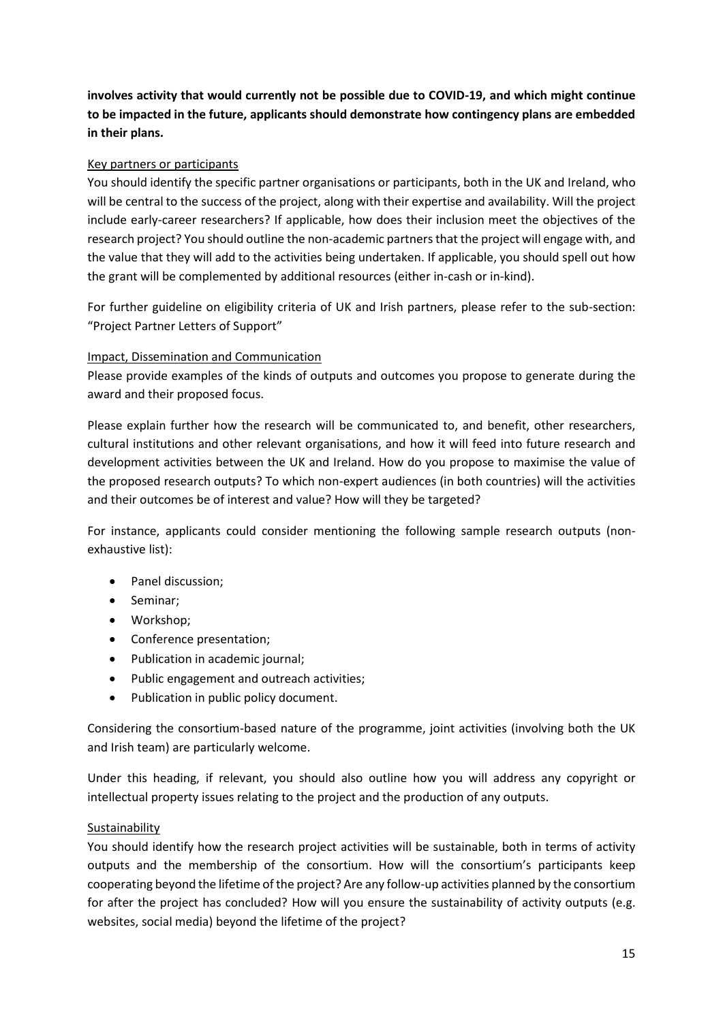**involves activity that would currently not be possible due to COVID-19, and which might continue to be impacted in the future, applicants should demonstrate how contingency plans are embedded in their plans.** 

#### Key partners or participants

You should identify the specific partner organisations or participants, both in the UK and Ireland, who will be central to the success of the project, along with their expertise and availability. Will the project include early-career researchers? If applicable, how does their inclusion meet the objectives of the research project? You should outline the non-academic partners that the project will engage with, and the value that they will add to the activities being undertaken. If applicable, you should spell out how the grant will be complemented by additional resources (either in-cash or in-kind).

For further guideline on eligibility criteria of UK and Irish partners, please refer to the sub-section: "Project Partner Letters of Support"

#### Impact, Dissemination and Communication

Please provide examples of the kinds of outputs and outcomes you propose to generate during the award and their proposed focus.

Please explain further how the research will be communicated to, and benefit, other researchers, cultural institutions and other relevant organisations, and how it will feed into future research and development activities between the UK and Ireland. How do you propose to maximise the value of the proposed research outputs? To which non-expert audiences (in both countries) will the activities and their outcomes be of interest and value? How will they be targeted?

For instance, applicants could consider mentioning the following sample research outputs (nonexhaustive list):

- Panel discussion;
- Seminar;
- Workshop;
- Conference presentation;
- Publication in academic journal;
- Public engagement and outreach activities;
- Publication in public policy document.

Considering the consortium-based nature of the programme, joint activities (involving both the UK and Irish team) are particularly welcome.

Under this heading, if relevant, you should also outline how you will address any copyright or intellectual property issues relating to the project and the production of any outputs.

#### Sustainability

You should identify how the research project activities will be sustainable, both in terms of activity outputs and the membership of the consortium. How will the consortium's participants keep cooperating beyond the lifetime of the project? Are any follow-up activities planned by the consortium for after the project has concluded? How will you ensure the sustainability of activity outputs (e.g. websites, social media) beyond the lifetime of the project?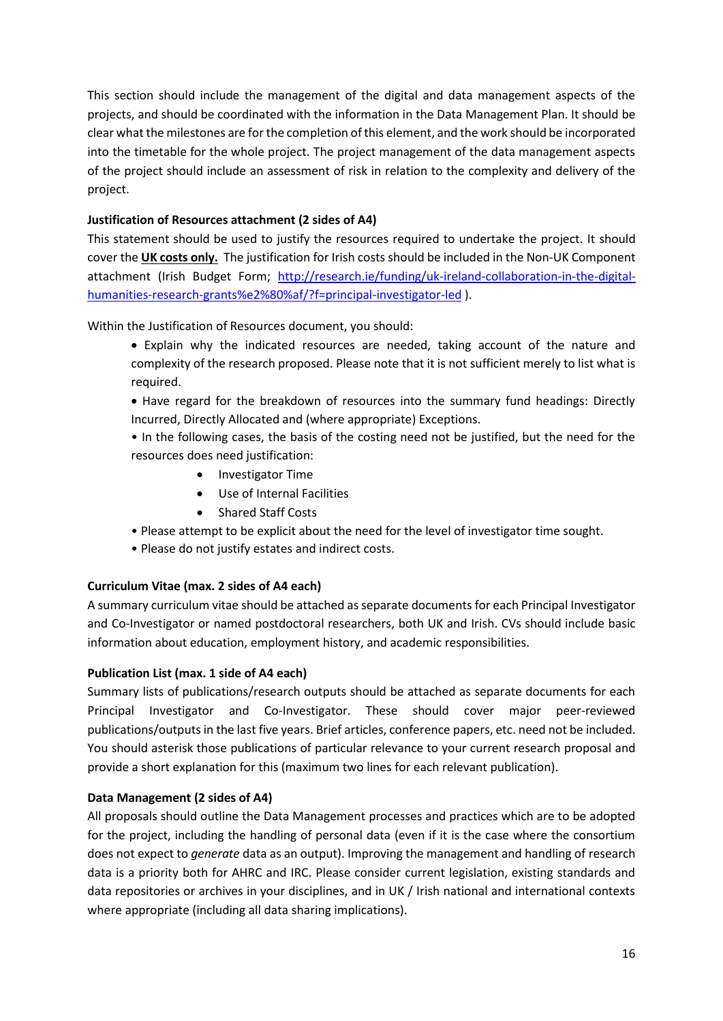This section should include the management of the digital and data management aspects of the projects, and should be coordinated with the information in the Data Management Plan. It should be clear what the milestones are for the completion of this element, and the work should be incorporated into the timetable for the whole project. The project management of the data management aspects of the project should include an assessment of risk in relation to the complexity and delivery of the project.

#### **Justification of Resources attachment (2 sides of A4)**

This statement should be used to justify the resources required to undertake the project. It should cover the **UK costs only.** The justification for Irish costs should be included in the Non-UK Component attachment (Irish Budget Form; [http://research.ie/funding/uk-ireland-collaboration-in-the-digital](http://research.ie/funding/uk-ireland-collaboration-in-the-digital-humanities-research-grants%e2%80%af/?f=principal-investigator-led)[humanities-research-grants%e2%80%af/?f=principal-investigator-led](http://research.ie/funding/uk-ireland-collaboration-in-the-digital-humanities-research-grants%e2%80%af/?f=principal-investigator-led) ).

Within the Justification of Resources document, you should:

- Explain why the indicated resources are needed, taking account of the nature and complexity of the research proposed. Please note that it is not sufficient merely to list what is required.
- Have regard for the breakdown of resources into the summary fund headings: Directly Incurred, Directly Allocated and (where appropriate) Exceptions.
- In the following cases, the basis of the costing need not be justified, but the need for the resources does need justification:
	- Investigator Time
	- Use of Internal Facilities
	- Shared Staff Costs
- Please attempt to be explicit about the need for the level of investigator time sought.
- Please do not justify estates and indirect costs.

#### **Curriculum Vitae (max. 2 sides of A4 each)**

A summary curriculum vitae should be attached as separate documents for each Principal Investigator and Co-Investigator or named postdoctoral researchers, both UK and Irish. CVs should include basic information about education, employment history, and academic responsibilities.

#### **Publication List (max. 1 side of A4 each)**

Summary lists of publications/research outputs should be attached as separate documents for each Principal Investigator and Co-Investigator. These should cover major peer-reviewed publications/outputs in the last five years. Brief articles, conference papers, etc. need not be included. You should asterisk those publications of particular relevance to your current research proposal and provide a short explanation for this (maximum two lines for each relevant publication).

#### **Data Management (2 sides of A4)**

All proposals should outline the Data Management processes and practices which are to be adopted for the project, including the handling of personal data (even if it is the case where the consortium does not expect to *generate* data as an output). Improving the management and handling of research data is a priority both for AHRC and IRC. Please consider current legislation, existing standards and data repositories or archives in your disciplines, and in UK / Irish national and international contexts where appropriate (including all data sharing implications).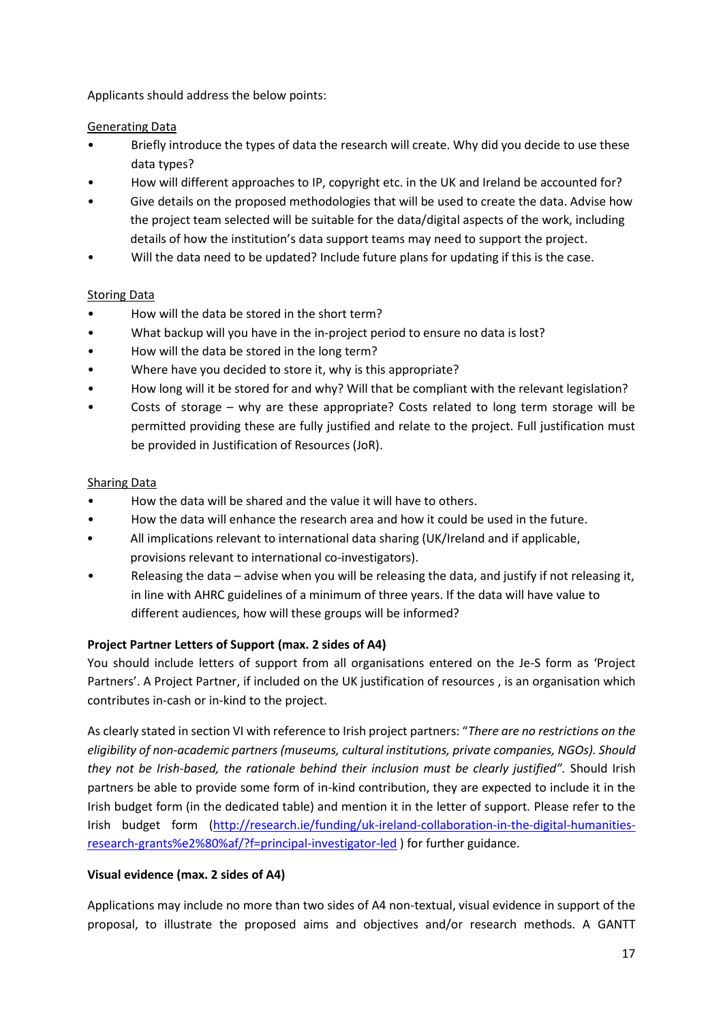Applicants should address the below points:

#### Generating Data

- Briefly introduce the types of data the research will create. Why did you decide to use these data types?
- How will different approaches to IP, copyright etc. in the UK and Ireland be accounted for?
- Give details on the proposed methodologies that will be used to create the data. Advise how the project team selected will be suitable for the data/digital aspects of the work, including details of how the institution's data support teams may need to support the project.
- Will the data need to be updated? Include future plans for updating if this is the case.

#### Storing Data

- How will the data be stored in the short term?
- What backup will you have in the in-project period to ensure no data is lost?
- How will the data be stored in the long term?
- Where have you decided to store it, why is this appropriate?
- How long will it be stored for and why? Will that be compliant with the relevant legislation?
- Costs of storage why are these appropriate? Costs related to long term storage will be permitted providing these are fully justified and relate to the project. Full justification must be provided in Justification of Resources (JoR).

#### Sharing Data

- How the data will be shared and the value it will have to others.
- How the data will enhance the research area and how it could be used in the future.
- All implications relevant to international data sharing (UK/Ireland and if applicable, provisions relevant to international co-investigators).
- Releasing the data advise when you will be releasing the data, and justify if not releasing it, in line with AHRC guidelines of a minimum of three years. If the data will have value to different audiences, how will these groups will be informed?

#### **Project Partner Letters of Support (max. 2 sides of A4)**

You should include letters of support from all organisations entered on the Je-S form as 'Project Partners'. A Project Partner, if included on the UK justification of resources , is an organisation which contributes in-cash or in-kind to the project.

As clearly stated in section VI with reference to Irish project partners: "*There are no restrictions on the eligibility of non-academic partners (museums, cultural institutions, private companies, NGOs). Should they not be Irish-based, the rationale behind their inclusion must be clearly justified".* Should Irish partners be able to provide some form of in-kind contribution, they are expected to include it in the Irish budget form (in the dedicated table) and mention it in the letter of support. Please refer to the Irish budget form [\(http://research.ie/funding/uk-ireland-collaboration-in-the-digital-humanities](http://research.ie/funding/uk-ireland-collaboration-in-the-digital-humanities-research-grants%e2%80%af/?f=principal-investigator-led)[research-grants%e2%80%af/?f=principal-investigator-led](http://research.ie/funding/uk-ireland-collaboration-in-the-digital-humanities-research-grants%e2%80%af/?f=principal-investigator-led) ) for further guidance.

#### **Visual evidence (max. 2 sides of A4)**

Applications may include no more than two sides of A4 non-textual, visual evidence in support of the proposal, to illustrate the proposed aims and objectives and/or research methods. A GANTT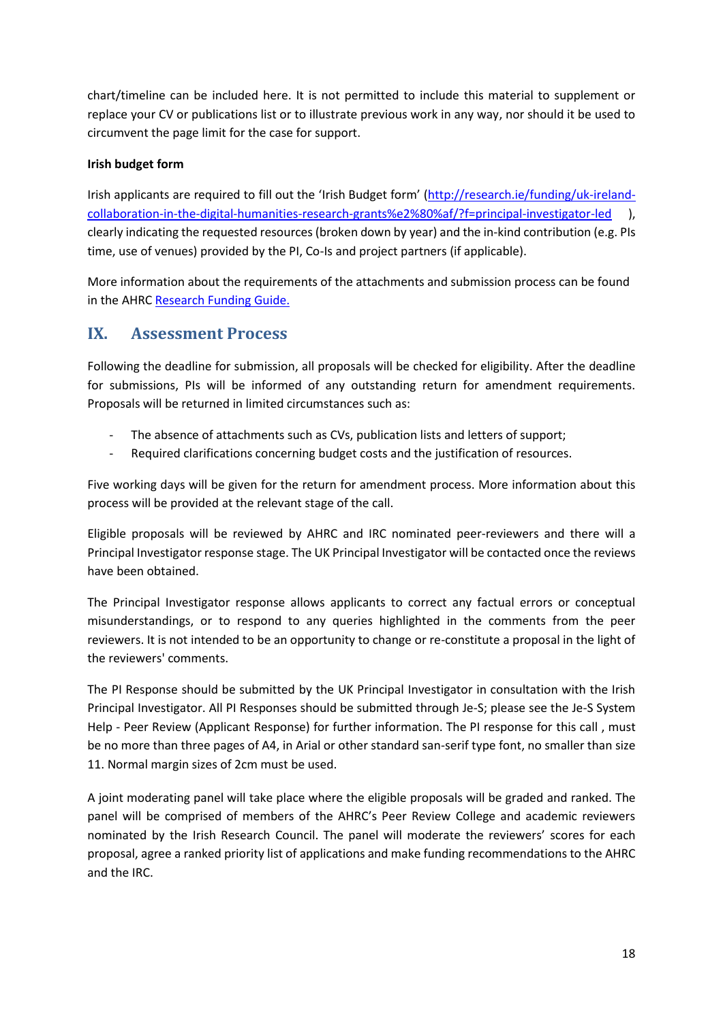chart/timeline can be included here. It is not permitted to include this material to supplement or replace your CV or publications list or to illustrate previous work in any way, nor should it be used to circumvent the page limit for the case for support.

#### **Irish budget form**

Irish applicants are required to fill out the 'Irish Budget form' [\(http://research.ie/funding/uk-ireland](http://research.ie/funding/uk-ireland-collaboration-in-the-digital-humanities-research-grants%e2%80%af/?f=principal-investigator-led)[collaboration-in-the-digital-humanities-research-grants%e2%80%af/?f=principal-investigator-led](http://research.ie/funding/uk-ireland-collaboration-in-the-digital-humanities-research-grants%e2%80%af/?f=principal-investigator-led) ), clearly indicating the requested resources (broken down by year) and the in-kind contribution (e.g. PIs time, use of venues) provided by the PI, Co-Is and project partners (if applicable).

More information about the requirements of the attachments and submission process can be found in the AHRC [Research Funding Guide.](https://ahrc.ukri.org/documents/guides/research-funding-guide1/)

## <span id="page-17-0"></span>**IX. Assessment Process**

Following the deadline for submission, all proposals will be checked for eligibility. After the deadline for submissions, PIs will be informed of any outstanding return for amendment requirements. Proposals will be returned in limited circumstances such as:

- The absence of attachments such as CVs, publication lists and letters of support;
- Required clarifications concerning budget costs and the justification of resources.

Five working days will be given for the return for amendment process. More information about this process will be provided at the relevant stage of the call.

Eligible proposals will be reviewed by AHRC and IRC nominated peer-reviewers and there will a Principal Investigator response stage. The UK Principal Investigator will be contacted once the reviews have been obtained.

The Principal Investigator response allows applicants to correct any factual errors or conceptual misunderstandings, or to respond to any queries highlighted in the comments from the peer reviewers. It is not intended to be an opportunity to change or re-constitute a proposal in the light of the reviewers' comments.

The PI Response should be submitted by the UK Principal Investigator in consultation with the Irish Principal Investigator. All PI Responses should be submitted through Je-S; please see the Je-S System Help - Peer Review (Applicant Response) for further information. The PI response for this call , must be no more than three pages of A4, in Arial or other standard san-serif type font, no smaller than size 11. Normal margin sizes of 2cm must be used.

A joint moderating panel will take place where the eligible proposals will be graded and ranked. The panel will be comprised of members of the AHRC's Peer Review College and academic reviewers nominated by the Irish Research Council. The panel will moderate the reviewers' scores for each proposal, agree a ranked priority list of applications and make funding recommendations to the AHRC and the IRC.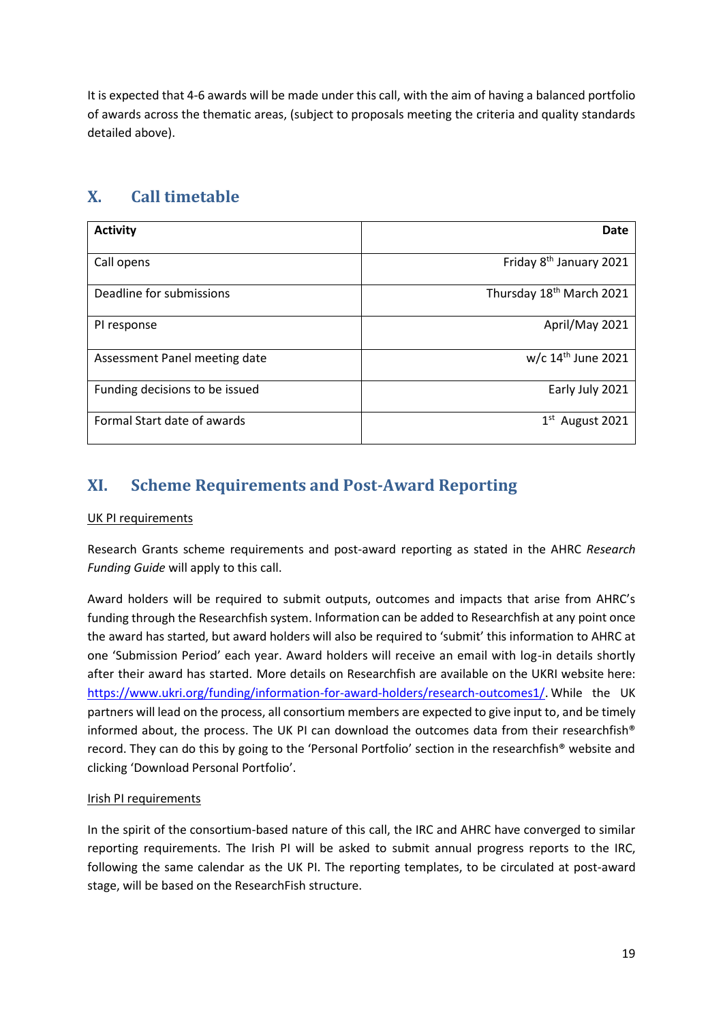It is expected that 4-6 awards will be made under this call, with the aim of having a balanced portfolio of awards across the thematic areas, (subject to proposals meeting the criteria and quality standards detailed above).

## <span id="page-18-0"></span>**X. Call timetable**

| <b>Activity</b>                | Date                                 |
|--------------------------------|--------------------------------------|
| Call opens                     | Friday 8 <sup>th</sup> January 2021  |
| Deadline for submissions       | Thursday 18 <sup>th</sup> March 2021 |
| PI response                    | April/May 2021                       |
| Assessment Panel meeting date  | w/c $14th$ June 2021                 |
| Funding decisions to be issued | Early July 2021                      |
| Formal Start date of awards    | $1st$ August 2021                    |

## <span id="page-18-1"></span>**XI. Scheme Requirements and Post-Award Reporting**

#### UK PI requirements

Research Grants scheme requirements and post-award reporting as stated in the AHRC *Research Funding Guide* will apply to this call.

Award holders will be required to submit outputs, outcomes and impacts that arise from AHRC's funding through the Researchfish system. Information can be added to Researchfish at any point once the award has started, but award holders will also be required to 'submit' this information to AHRC at one 'Submission Period' each year. Award holders will receive an email with log-in details shortly after their award has started. More details on Researchfish are available on the UKRI website here: [https://www.ukri.org/funding/information-for-award-holders/research-outcomes1/.](https://www.ukri.org/funding/information-for-award-holders/research-outcomes1/) While the UK partners will lead on the process, all consortium members are expected to give input to, and be timely informed about, the process. The UK PI can download the outcomes data from their researchfish<sup>®</sup> record. They can do this by going to the 'Personal Portfolio' section in the researchfish® website and clicking 'Download Personal Portfolio'.

#### Irish PI requirements

In the spirit of the consortium-based nature of this call, the IRC and AHRC have converged to similar reporting requirements. The Irish PI will be asked to submit annual progress reports to the IRC, following the same calendar as the UK PI. The reporting templates, to be circulated at post-award stage, will be based on the ResearchFish structure.